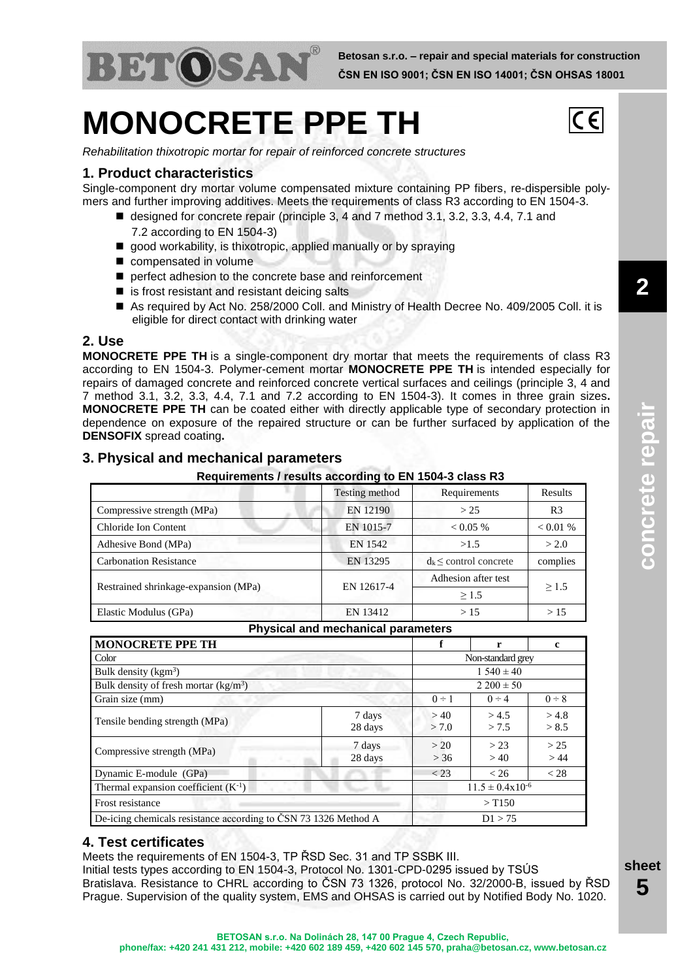

# **MONOCRETE PPE TH**



**2**

**concrete repair**

concrete repair

*Rehabilitation thixotropic mortar for repair of reinforced concrete structures*

## **1. Product characteristics**

Single-component dry mortar volume compensated mixture containing PP fibers, re-dispersible polymers and further improving additives. Meets the requirements of class R3 according to EN 1504-3.

- designed for concrete repair (principle 3, 4 and 7 method 3.1, 3.2, 3.3, 4.4, 7.1 and 7.2 according to EN 1504-3)
- good workability, is thixotropic, applied manually or by spraying
- compensated in volume
- perfect adhesion to the concrete base and reinforcement
- $\blacksquare$  is frost resistant and resistant deicing salts
- As required by Act No. 258/2000 Coll. and Ministry of Health Decree No. 409/2005 Coll. it is eligible for direct contact with drinking water

#### **2. Use**

**MONOCRETE PPE TH** is a single-component dry mortar that meets the requirements of class R3 according to EN 1504-3. Polymer-cement mortar **MONOCRETE PPE TH** is intended especially for repairs of damaged concrete and reinforced concrete vertical surfaces and ceilings (principle 3, 4 and 7 method 3.1, 3.2, 3.3, 4.4, 7.1 and 7.2 according to EN 1504-3). It comes in three grain sizes**. MONOCRETE PPE TH** can be coated either with directly applicable type of secondary protection in dependence on exposure of the repaired structure or can be further surfaced by application of the **DENSOFIX** spread coating**.**

## **3. Physical and mechanical parameters**

#### **Requirements / results according to EN 1504-3 class R3**

|                                      | Testing method | Requirements               | <b>Results</b> |  |
|--------------------------------------|----------------|----------------------------|----------------|--|
| Compressive strength (MPa)           | EN 12190       | > 25                       | R <sub>3</sub> |  |
| Chloride Ion Content                 | EN 1015-7      | $0.05\%$                   | < 0.01 %       |  |
| Adhesive Bond (MPa)                  | EN 1542        | >1.5                       | > 2.0          |  |
| <b>Carbonation Resistance</b>        | EN 13295       | $d_k \le$ control concrete | complies       |  |
|                                      |                | Adhesion after test        | >1.5           |  |
| Restrained shrinkage-expansion (MPa) | EN 12617-4     | >1.5                       |                |  |
| Elastic Modulus (GPa)                | EN 13412       | >15                        | >15            |  |

#### **Physical and mechanical parameters**

| <b>MONOCRETE PPE TH</b>                                         |                   | f                             | r              | c              |  |
|-----------------------------------------------------------------|-------------------|-------------------------------|----------------|----------------|--|
| Color                                                           |                   | Non-standard grey             |                |                |  |
| Bulk density ( $\text{kgm}^3$ )                                 |                   | $1.540 \pm 40$                |                |                |  |
| Bulk density of fresh mortar $(kg/m3)$                          |                   | $2200 \pm 50$                 |                |                |  |
| Grain size (mm)                                                 |                   | $0 \div 1$                    | $0 \div 4$     | $0 \div 8$     |  |
| Tensile bending strength (MPa)                                  | 7 days<br>28 days | >40<br>> 7.0                  | > 4.5<br>> 7.5 | > 4.8<br>> 8.5 |  |
| Compressive strength (MPa)                                      | 7 days<br>28 days | > 20<br>> 36                  | > 23<br>>40    | > 25<br>>44    |  |
| Dynamic E-module (GPa)                                          |                   | $<$ 23                        | < 26           | < 28           |  |
| Thermal expansion coefficient $(K^{-1})$                        |                   | $11.5 \pm 0.4 \times 10^{-6}$ |                |                |  |
| Frost resistance                                                |                   | $>$ T150                      |                |                |  |
| De-icing chemicals resistance according to ČSN 73 1326 Method A |                   | D1 > 75                       |                |                |  |

## **4. Test certificates**

Meets the requirements of EN 1504-3, TP ŘSD Sec. 31 and TP SSBK III.

Initial tests types according to EN 1504-3, Protocol No. 1301-CPD-0295 issued by TSÚS Bratislava. Resistance to CHRL according to ČSN 73 1326, protocol No. 32/2000-B, issued by ŘSD Prague. Supervision of the quality system, EMS and OHSAS is carried out by Notified Body No. 1020.

**sheet 5**

**BETOSAN s.r.o. Na Dolinách 28, 147 00 Prague 4, Czech Republic, phone/fax: +420 241 431 212, mobile: +420 602 189 459, +420 602 145 570, praha@betosan.cz, www.betosan.cz**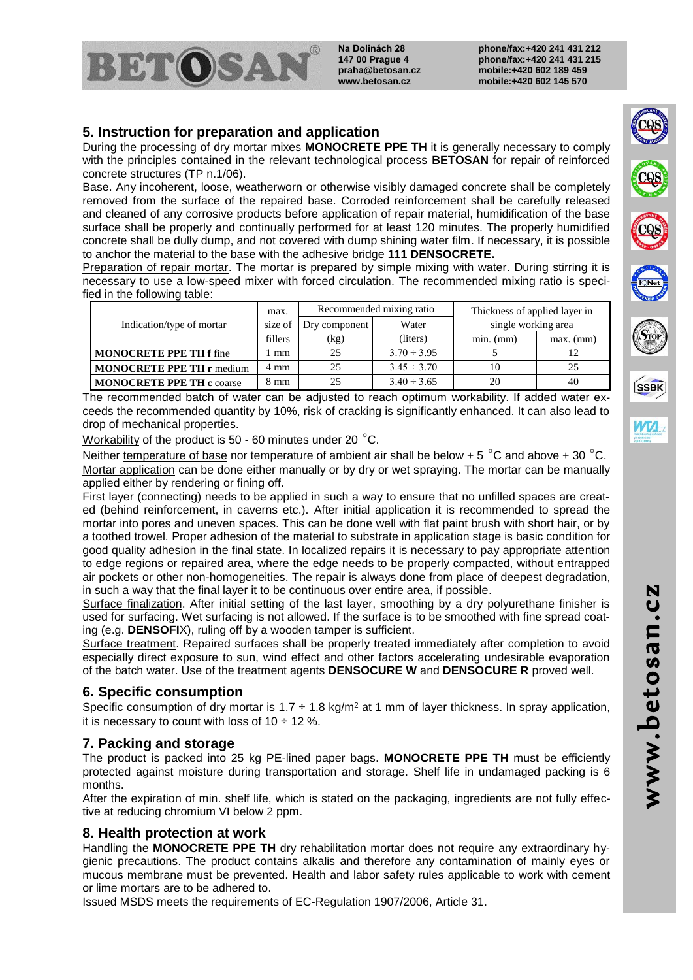**Na Dolinách 28** BETOSAI **147 00 Prague 4 praha@betosan.cz www.betosan.cz**

**phone/fax:+420 241 431 212 phone/fax:+420 241 431 215 mobile:+420 602 189 459 mobile:+420 602 145 570**

## **5. Instruction for preparation and application**

During the processing of dry mortar mixes **MONOCRETE PPE TH** it is generally necessary to comply with the principles contained in the relevant technological process **BETOSAN** for repair of reinforced concrete structures (TP n.1/06).

Base. Any incoherent, loose, weatherworn or otherwise visibly damaged concrete shall be completely removed from the surface of the repaired base. Corroded reinforcement shall be carefully released and cleaned of any corrosive products before application of repair material, humidification of the base surface shall be properly and continually performed for at least 120 minutes. The properly humidified concrete shall be dully dump, and not covered with dump shining water film. If necessary, it is possible to anchor the material to the base with the adhesive bridge **111 DENSOCRETE.**

Preparation of repair mortar. The mortar is prepared by simple mixing with water. During stirring it is necessary to use a low-speed mixer with forced circulation. The recommended mixing ratio is specified in the following table:

|                                  | max.    | Recommended mixing ratio |                  | Thickness of applied layer in |                 |
|----------------------------------|---------|--------------------------|------------------|-------------------------------|-----------------|
| Indication/type of mortar        | size of | Dry component            | Water            | single working area           |                 |
|                                  | fillers | (kg)                     | (liters)         | $min.$ ( $mm$ )               | $max.$ ( $mm$ ) |
| <b>MONOCRETE PPE TH f fine</b>   | mm      | 25                       | $3.70 \div 3.95$ |                               | 12              |
| <b>MONOCRETE PPE TH r medium</b> | 4 mm    | 25                       | $3.45 \div 3.70$ | 10                            | 25              |
| <b>MONOCRETE PPE TH c coarse</b> | 8 mm    | 25                       | $3.40 \div 3.65$ | 20                            | 40              |

The recommended batch of water can be adjusted to reach optimum workability. If added water exceeds the recommended quantity by 10%, risk of cracking is significantly enhanced. It can also lead to drop of mechanical properties.

Workability of the product is 50 - 60 minutes under 20 °C.

Neither temperature of base nor temperature of ambient air shall be below + 5  $^{\circ}$ C and above + 30  $^{\circ}$ C. Mortar application can be done either manually or by dry or wet spraying. The mortar can be manually applied either by rendering or fining off.

First layer (connecting) needs to be applied in such a way to ensure that no unfilled spaces are created (behind reinforcement, in caverns etc.). After initial application it is recommended to spread the mortar into pores and uneven spaces. This can be done well with flat paint brush with short hair, or by a toothed trowel. Proper adhesion of the material to substrate in application stage is basic condition for good quality adhesion in the final state. In localized repairs it is necessary to pay appropriate attention to edge regions or repaired area, where the edge needs to be properly compacted, without entrapped air pockets or other non-homogeneities. The repair is always done from place of deepest degradation, in such a way that the final layer it to be continuous over entire area, if possible.

Surface finalization. After initial setting of the last layer, smoothing by a dry polyurethane finisher is used for surfacing. Wet surfacing is not allowed. If the surface is to be smoothed with fine spread coating (e.g. **DENSOFI**X), ruling off by a wooden tamper is sufficient.

Surface treatment. Repaired surfaces shall be properly treated immediately after completion to avoid especially direct exposure to sun, wind effect and other factors accelerating undesirable evaporation of the batch water. Use of the treatment agents **DENSOCURE W** and **DENSOCURE R** proved well.

## **6. Specific consumption**

Specific consumption of dry mortar is 1.7  $\div$  1.8 kg/m<sup>2</sup> at 1 mm of layer thickness. In spray application, it is necessary to count with loss of  $10 \div 12$  %.

## **7. Packing and storage**

The product is packed into 25 kg PE-lined paper bags. **MONOCRETE PPE TH** must be efficiently protected against moisture during transportation and storage. Shelf life in undamaged packing is 6 months.

After the expiration of min. shelf life, which is stated on the packaging, ingredients are not fully effective at reducing chromium VI below 2 ppm.

## **8. Health protection at work**

Handling the **MONOCRETE PPE TH** dry rehabilitation mortar does not require any extraordinary hygienic precautions. The product contains alkalis and therefore any contamination of mainly eyes or mucous membrane must be prevented. Health and labor safety rules applicable to work with cement or lime mortars are to be adhered to.

Issued MSDS meets the requirements of EC-Regulation 1907/2006, Article 31.